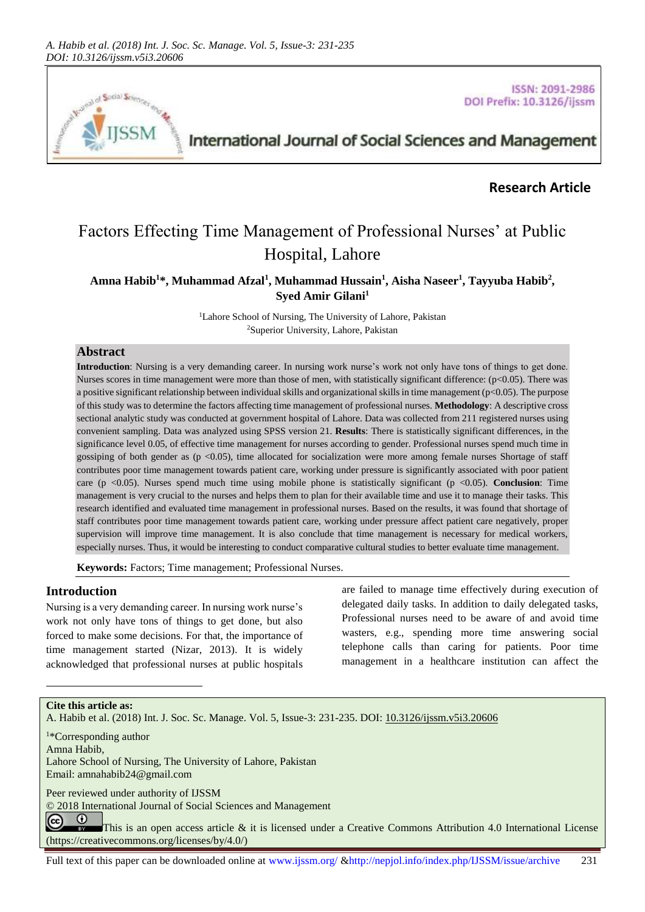

ISSN: 2091-2986 DOI Prefix: 10.3126/ijssm

# International Journal of Social Sciences and Management

## **Research Article**

# Factors Effecting Time Management of Professional Nurses' at Public Hospital, Lahore

**Amna Habib<sup>1</sup>\*, Muhammad Afzal<sup>1</sup> , Muhammad Hussain<sup>1</sup> , Aisha Naseer<sup>1</sup> , Tayyuba Habib<sup>2</sup> , Syed Amir Gilani<sup>1</sup>**

> <sup>1</sup>Lahore School of Nursing, The University of Lahore, Pakistan <sup>2</sup>Superior University, Lahore, Pakistan

## **Abstract**

**Introduction**: Nursing is a very demanding career. In nursing work nurse's work not only have tons of things to get done. Nurses scores in time management were more than those of men, with statistically significant difference:  $(p<0.05)$ . There was a positive significant relationship between individual skills and organizational skills in time management ( $p<0.05$ ). The purpose of this study was to determine the factors affecting time management of professional nurses. **Methodology**: A descriptive cross sectional analytic study was conducted at government hospital of Lahore. Data was collected from 211 registered nurses using convenient sampling. Data was analyzed using SPSS version 21. **Results**: There is statistically significant differences, in the significance level 0.05, of effective time management for nurses according to gender. Professional nurses spend much time in gossiping of both gender as  $(p < 0.05)$ , time allocated for socialization were more among female nurses Shortage of staff contributes poor time management towards patient care, working under pressure is significantly associated with poor patient care (p <0.05). Nurses spend much time using mobile phone is statistically significant (p <0.05). **Conclusion**: Time management is very crucial to the nurses and helps them to plan for their available time and use it to manage their tasks. This research identified and evaluated time management in professional nurses. Based on the results, it was found that shortage of staff contributes poor time management towards patient care, working under pressure affect patient care negatively, proper supervision will improve time management. It is also conclude that time management is necessary for medical workers, especially nurses. Thus, it would be interesting to conduct comparative cultural studies to better evaluate time management.

**Keywords:** Factors; Time management; Professional Nurses.

### **Introduction**

Nursing is a very demanding career. In nursing work nurse's work not only have tons of things to get done, but also forced to make some decisions. For that, the importance of time management started (Nizar, 2013). It is widely acknowledged that professional nurses at public hospitals are failed to manage time effectively during execution of delegated daily tasks. In addition to daily delegated tasks, Professional nurses need to be aware of and avoid time wasters, e.g., spending more time answering social telephone calls than caring for patients. Poor time management in a healthcare institution can affect the

#### **Cite this article as:**

l

A. Habib et al. (2018) Int. J. Soc. Sc. Manage. Vol. 5, Issue-3: 231-235. DOI[: 10.3126/ijssm.v5i3.20606](http://dx.doi.org/10.3126/ijssm.v5i3.20606)

<sup>1</sup>\*Corresponding author Amna Habib, Lahore School of Nursing, The University of Lahore, Pakistan Email[: amnahabib24@gmail.com](mailto:amnahabib24@gmail.com) 

Peer reviewed under authority of IJSSM

[© 2018](https://creativecommons.org/licenses/by/4.0/)) International Journal of Social Sciences and Management

 $\odot$  $(cc)$ This is an open access article & it is licensed under a Creative Commons Attribution 4.0 International License [\(https://creativecommons.org/licenses/by/4.0/\)](https://creativecommons.org/licenses/by/4.0/)

Full text of this paper can be downloaded online at www.ijssm.org/ &http://nepjol.info/index.php/IJSSM/issue/archive 231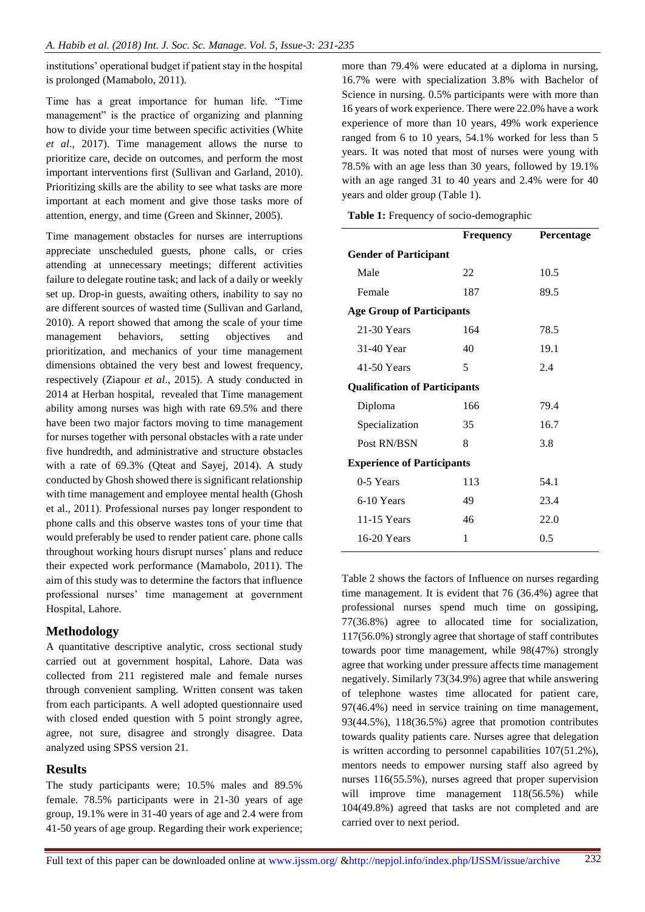institutions' operational budget if patient stay in the hospital is prolonged (Mamabolo, 2011).

Time has a great importance for human life. "Time management" is the practice of organizing and planning how to divide your time between specific activities (White *et al*., 2017). Time management allows the nurse to prioritize care, decide on outcomes, and perform the most important interventions first (Sullivan and Garland, 2010). Prioritizing skills are the ability to see what tasks are more important at each moment and give those tasks more of attention, energy, and time (Green and Skinner, 2005).

Time management obstacles for nurses are interruptions appreciate unscheduled guests, phone calls, or cries attending at unnecessary meetings; different activities failure to delegate routine task; and lack of a daily or weekly set up. Drop-in guests, awaiting others, inability to say no are different sources of wasted time (Sullivan and Garland, 2010). A report showed that among the scale of your time management behaviors, setting objectives and prioritization, and mechanics of your time management dimensions obtained the very best and lowest frequency, respectively (Ziapour *et al*., 2015). A study conducted in 2014 at Herban hospital, revealed that Time management ability among nurses was high with rate 69.5% and there have been two major factors moving to time management for nurses together with personal obstacles with a rate under five hundredth, and administrative and structure obstacles with a rate of 69.3% (Qteat and Sayej, 2014). A study conducted by Ghosh showed there is significant relationship with time management and employee mental health (Ghosh et al., 2011). Professional nurses pay longer respondent to phone calls and this observe wastes tons of your time that would preferably be used to render patient care. phone calls throughout working hours disrupt nurses' plans and reduce their expected work performance (Mamabolo, 2011). The aim of this study was to determine the factors that influence professional nurses' time management at government Hospital, Lahore.

## **Methodology**

A quantitative descriptive analytic, cross sectional study carried out at government hospital, Lahore. Data was collected from 211 registered male and female nurses through convenient sampling. Written consent was taken from each participants. A well adopted questionnaire used with closed ended question with 5 point strongly agree, agree, not sure, disagree and strongly disagree. Data analyzed using SPSS version 21.

## **Results**

The study participants were; 10.5% males and 89.5% female. 78.5% participants were in 21-30 years of age group, 19.1% were in 31-40 years of age and 2.4 were from 41-50 years of age group. Regarding their work experience; more than 79.4% were educated at a diploma in nursing, 16.7% were with specialization 3.8% with Bachelor of Science in nursing. 0.5% participants were with more than 16 years of work experience. There were 22.0% have a work experience of more than 10 years, 49% work experience ranged from 6 to 10 years, 54.1% worked for less than 5 years. It was noted that most of nurses were young with 78.5% with an age less than 30 years, followed by 19.1% with an age ranged 31 to 40 years and 2.4% were for 40 years and older group (Table 1).

**Table 1:** Frequency of socio-demographic

|                                      | <b>Frequency</b> | Percentage |  |  |  |  |  |  |  |
|--------------------------------------|------------------|------------|--|--|--|--|--|--|--|
| <b>Gender of Participant</b>         |                  |            |  |  |  |  |  |  |  |
| Male                                 | 22               | 10.5       |  |  |  |  |  |  |  |
| Female                               | 187              | 89.5       |  |  |  |  |  |  |  |
| <b>Age Group of Participants</b>     |                  |            |  |  |  |  |  |  |  |
| 21-30 Years                          | 164              | 78.5       |  |  |  |  |  |  |  |
| 31-40 Year                           | 40               | 19.1       |  |  |  |  |  |  |  |
| 41-50 Years                          | 5                | 2.4        |  |  |  |  |  |  |  |
| <b>Qualification of Participants</b> |                  |            |  |  |  |  |  |  |  |
| Diploma                              | 166              | 79.4       |  |  |  |  |  |  |  |
| Specialization                       | 35               | 16.7       |  |  |  |  |  |  |  |
| Post RN/BSN                          | 8                | 3.8        |  |  |  |  |  |  |  |
| <b>Experience of Participants</b>    |                  |            |  |  |  |  |  |  |  |
| 0-5 Years                            | 113              | 54.1       |  |  |  |  |  |  |  |
| 6-10 Years                           | 49               | 23.4       |  |  |  |  |  |  |  |
| 11-15 Years                          | 46               | 22.0       |  |  |  |  |  |  |  |
| 16-20 Years                          | 1                | 0.5        |  |  |  |  |  |  |  |
|                                      |                  |            |  |  |  |  |  |  |  |

Table 2 shows the factors of Influence on nurses regarding time management. It is evident that 76 (36.4%) agree that professional nurses spend much time on gossiping, 77(36.8%) agree to allocated time for socialization, 117(56.0%) strongly agree that shortage of staff contributes towards poor time management, while 98(47%) strongly agree that working under pressure affects time management negatively. Similarly 73(34.9%) agree that while answering of telephone wastes time allocated for patient care, 97(46.4%) need in service training on time management, 93(44.5%), 118(36.5%) agree that promotion contributes towards quality patients care. Nurses agree that delegation is written according to personnel capabilities 107(51.2%), mentors needs to empower nursing staff also agreed by nurses 116(55.5%), nurses agreed that proper supervision will improve time management  $118(56.5%)$  while 104(49.8%) agreed that tasks are not completed and are carried over to next period.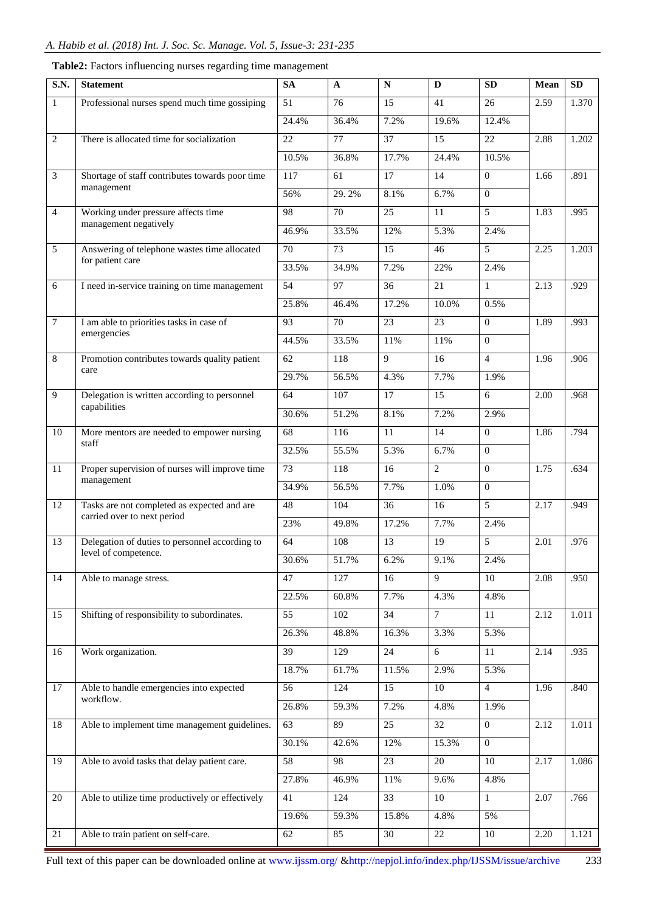| S.N.            | <b>Statement</b>                                             | <b>SA</b>       | A                | N               | D               | SD             | Mean | SD    |
|-----------------|--------------------------------------------------------------|-----------------|------------------|-----------------|-----------------|----------------|------|-------|
| -1              | Professional nurses spend much time gossiping                | 51              | 76               | 15              | 41              | 26             | 2.59 | 1.370 |
|                 |                                                              |                 | 36.4%            | 7.2%            | 19.6%           | 12.4%          |      |       |
| $\overline{2}$  | There is allocated time for socialization                    |                 | 77               | 37              | 15              | 22             | 2.88 | 1.202 |
|                 |                                                              |                 | 36.8%            | 17.7%           | 24.4%           | 10.5%          |      |       |
| 3               | Shortage of staff contributes towards poor time              | 117             | 61               | 17              | 14              | $\Omega$       | 1.66 | .891  |
|                 | management                                                   | 56%             | 29.2%            | 8.1%            | 6.7%            | $\Omega$       |      |       |
| $\overline{4}$  | Working under pressure affects time                          | 98              | 70               | 25              | 11              | 5              | 1.83 | .995  |
|                 | management negatively                                        | 46.9%           | 33.5%            | 12%             | 5.3%            | 2.4%           |      |       |
| 5               | Answering of telephone wastes time allocated                 | 70              | 73               | 15              | 46              | 5              | 2.25 | 1.203 |
|                 | for patient care                                             | 33.5%           | 34.9%            | 7.2%            | 22%             | 2.4%           |      |       |
| 6               | I need in-service training on time management                | 54              | 97               | 36              | 21              | $\mathbf{1}$   | 2.13 | .929  |
|                 |                                                              | 25.8%           | 46.4%            | 17.2%           | 10.0%           | 0.5%           |      |       |
| $\overline{7}$  | I am able to priorities tasks in case of                     | 93              | 70               | 23              | 23              | $\overline{0}$ | 1.89 | .993  |
|                 | emergencies                                                  | 44.5%           | 33.5%            | 11%             | 11%             | $\overline{0}$ |      |       |
| $8\,$           | Promotion contributes towards quality patient                | 62              | 118              | 9               | 16              | $\overline{4}$ | 1.96 | .906  |
|                 | care                                                         | 29.7%           | 56.5%            | 4.3%            | 7.7%            | 1.9%           |      |       |
| 9               | Delegation is written according to personnel                 | 64              | 107              | 17              | 15              | 6              | 2.00 | .968  |
|                 | capabilities                                                 | 30.6%           | 51.2%            | 8.1%            | 7.2%            | 2.9%           |      |       |
| 10              | More mentors are needed to empower nursing<br>staff          |                 | 116              | 11              | 14              | $\overline{0}$ | 1.86 | .794  |
|                 |                                                              |                 | 55.5%            | 5.3%            | 6.7%            | $\Omega$       |      |       |
| 11              | Proper supervision of nurses will improve time<br>management |                 | 118              | 16              | 2               | $\Omega$       | 1.75 | .634  |
|                 |                                                              |                 | 56.5%            | 7.7%            | 1.0%            | $\Omega$       |      |       |
| 12              | Tasks are not completed as expected and are                  | 48              | 104              | 36              | 16              | 5              | 2.17 | .949  |
|                 | carried over to next period                                  | 23%             | 49.8%            | 17.2%           | 7.7%            | 2.4%           |      |       |
| 13              | Delegation of duties to personnel according to               | 64              | 108              | 13              | 19              | 5              | 2.01 | .976  |
|                 | level of competence.                                         | 30.6%           | 51.7%            | 6.2%            | 9.1%            | 2.4%           |      |       |
| $\overline{14}$ | Able to manage stress.                                       | 47              | 127              | 16              | $\mathbf Q$     | 10             | 2.08 | .950  |
|                 |                                                              | 22.5%           | 60.8%            | 7.7%            | 4.3%            | 4.8%           |      |       |
| 15              | Shifting of responsibility to subordinates.                  | $\overline{55}$ | 102              | 34              | $\tau$          | 11             | 2.12 | 1.011 |
|                 |                                                              | 26.3%           | 48.8%            | 16.3%           | 3.3%            | 5.3%           |      |       |
| 16              | Work organization.                                           | 39              | 129              | 24              | 6               | 11             | 2.14 | .935  |
|                 |                                                              | 18.7%           | 61.7%            | 11.5%           | 2.9%            | 5.3%           |      |       |
| 17              | Able to handle emergencies into expected                     | 56              | $\overline{124}$ | 15              | $\overline{10}$ | $\overline{4}$ | 1.96 | .840  |
|                 | workflow.                                                    |                 | 59.3%            | 7.2%            | 4.8%            | 1.9%           |      |       |
| $\overline{18}$ | Able to implement time management guidelines.                | 63              | 89               | 25              | $\overline{32}$ | $\mathbf{0}$   | 2.12 | 1.011 |
|                 |                                                              | 30.1%           | 42.6%            | 12%             | 15.3%           | $\overline{0}$ |      |       |
| 19              | Able to avoid tasks that delay patient care.                 | $\overline{58}$ | 98               | 23              | $\overline{20}$ | 10             | 2.17 | 1.086 |
|                 |                                                              | 27.8%           | 46.9%            | 11%             | 9.6%            | 4.8%           |      |       |
| 20              | Able to utilize time productively or effectively             | $\overline{41}$ | 124              | $\overline{33}$ | 10              | $\mathbf{1}$   | 2.07 | .766  |
|                 |                                                              | 19.6%           | 59.3%            | 15.8%           | 4.8%            | 5%             |      |       |
| 21              | Able to train patient on self-care.                          | 62              | 85               | 30              | 22              | $10\,$         | 2.20 | 1.121 |

## **Table2:** Factors influencing nurses regarding time management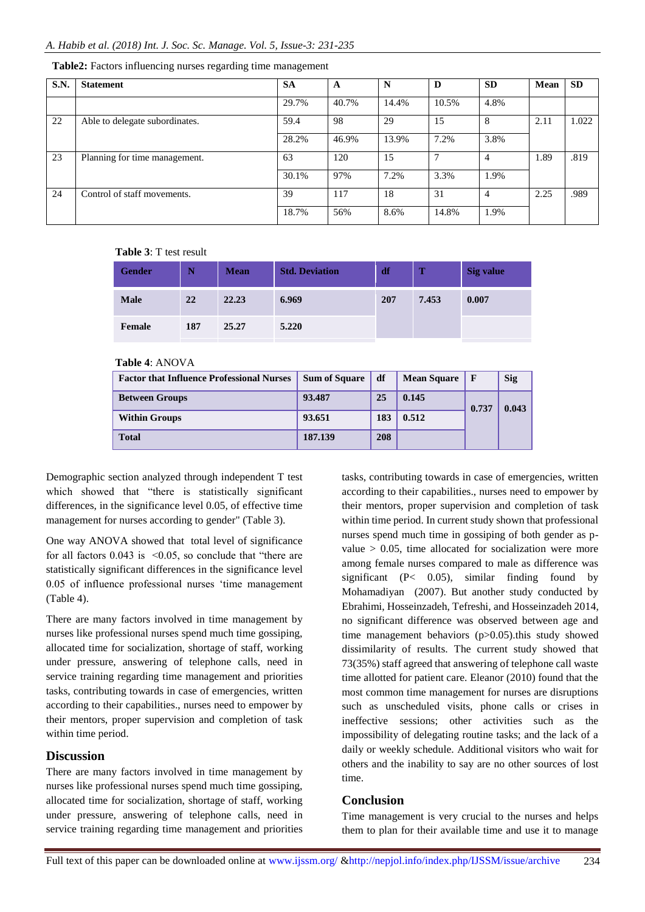| <b>S.N.</b> | <b>Statement</b>               | <b>SA</b> | A     | N     | D            | <b>SD</b>      | Mean | <b>SD</b> |
|-------------|--------------------------------|-----------|-------|-------|--------------|----------------|------|-----------|
|             |                                | 29.7%     | 40.7% | 14.4% | 10.5%        | 4.8%           |      |           |
| 22          | Able to delegate subordinates. | 59.4      | 98    | 29    | 15           | 8              | 2.11 | 1.022     |
|             |                                | 28.2%     | 46.9% | 13.9% | 7.2%         | 3.8%           |      |           |
| 23          | Planning for time management.  | 63        | 120   | 15    | $\mathbf{r}$ | $\overline{4}$ | 1.89 | .819      |
|             |                                | 30.1%     | 97%   | 7.2%  | 3.3%         | 1.9%           |      |           |
| 24          | Control of staff movements.    | 39        | 117   | 18    | 31           | $\overline{4}$ | 2.25 | .989      |
|             |                                | 18.7%     | 56%   | 8.6%  | 14.8%        | 1.9%           |      |           |

**Table2:** Factors influencing nurses regarding time management

#### **Table 3**: T test result

| <b>Gender</b> | N   | <b>Mean</b> | <b>Std. Deviation</b> | df  | т     | <b>Sig value</b> |
|---------------|-----|-------------|-----------------------|-----|-------|------------------|
| <b>Male</b>   | 22  | 22.23       | 6.969                 | 207 | 7.453 | 0.007            |
| Female        | 187 | 25.27       | 5.220                 |     |       |                  |

#### **Table 4**: ANOVA

| <b>Factor that Influence Professional Nurses</b> | <b>Sum of Square</b> | df  | <b>Mean Square</b> | $\mathbf{F}$ | <b>Sig</b> |
|--------------------------------------------------|----------------------|-----|--------------------|--------------|------------|
| <b>Between Groups</b>                            | 93.487               | 25  | 0.145              | 0.737        | 0.043      |
| <b>Within Groups</b>                             | 93.651               | 183 | 0.512              |              |            |
| <b>Total</b>                                     | 187.139              | 208 |                    |              |            |

Demographic section analyzed through independent T test which showed that "there is statistically significant differences, in the significance level 0.05, of effective time management for nurses according to gender" (Table 3).

One way ANOVA showed that total level of significance for all factors  $0.043$  is  $\leq 0.05$ , so conclude that "there are statistically significant differences in the significance level 0.05 of influence professional nurses 'time management (Table 4).

There are many factors involved in time management by nurses like professional nurses spend much time gossiping, allocated time for socialization, shortage of staff, working under pressure, answering of telephone calls, need in service training regarding time management and priorities tasks, contributing towards in case of emergencies, written according to their capabilities., nurses need to empower by their mentors, proper supervision and completion of task within time period.

### **Discussion**

There are many factors involved in time management by nurses like professional nurses spend much time gossiping, allocated time for socialization, shortage of staff, working under pressure, answering of telephone calls, need in service training regarding time management and priorities tasks, contributing towards in case of emergencies, written according to their capabilities., nurses need to empower by their mentors, proper supervision and completion of task within time period. In current study shown that professional nurses spend much time in gossiping of both gender as pvalue  $> 0.05$ , time allocated for socialization were more among female nurses compared to male as difference was significant (P< 0.05), similar finding found by Mohamadiyan (2007). But another study conducted by Ebrahimi, Hosseinzadeh, Tefreshi, and Hosseinzadeh 2014, no significant difference was observed between age and time management behaviors (p>0.05).this study showed dissimilarity of results. The current study showed that 73(35%) staff agreed that answering of telephone call waste time allotted for patient care. Eleanor (2010) found that the most common time management for nurses are disruptions such as unscheduled visits, phone calls or crises in ineffective sessions; other activities such as the impossibility of delegating routine tasks; and the lack of a daily or weekly schedule. Additional visitors who wait for others and the inability to say are no other sources of lost time.

### **Conclusion**

Time management is very crucial to the nurses and helps them to plan for their available time and use it to manage